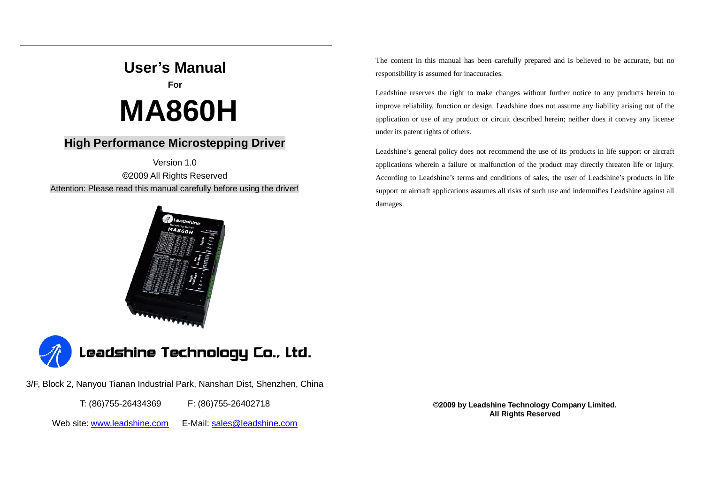# **User's Manual**

**For**

# **MA860H**

# **High Performance Microstepping Driver**

Version 1.0 ©2009 All Rights Reserved Attention: Please read this manual carefully before using the driver!





3/F, Block 2, Nanyou Tianan Industrial Park, Nanshan Dist, Shenzhen, China

T: (86)755-26434369 F: (86)755-26402718

Web site: [www.leadshine.com](http://www.leadshine.com) E-Mail: [sales@leadshine.com](mailto:sales@leadshine.com)

The content in this manual has been carefully prepared and is believed to be accurate, but no responsibility is assumed for inaccuracies.

Leadshine reserves the right to make changes without further notice to any products herein to improve reliability, function or design. Leadshine does not assume any liability arising out of the application or use of any product or circuit described herein; neither does it convey any license under its patent rights of others.

Leadshine's general policy does not recommend the use of its products in life support or aircraft applications wherein a failure or malfunction of the product may directly threaten life or injury. According to Leadshine's terms and conditions of sales, the user of Leadshine's products in life support or aircraft applications assumes all risks of such use and indemnifies Leadshine against all damages.

> ©**2009 by Leadshine Technology Company Limited. All Rights Reserved**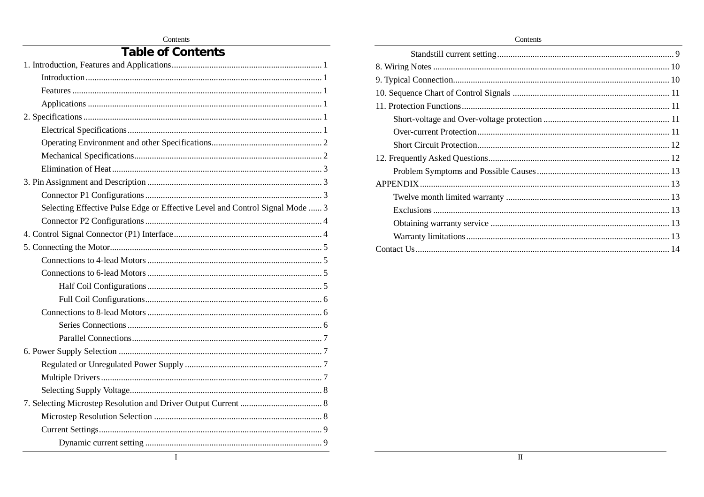Contents

# **Table of Contents**

| Selecting Effective Pulse Edge or Effective Level and Control Signal Mode  3 |  |
|------------------------------------------------------------------------------|--|
|                                                                              |  |
|                                                                              |  |
|                                                                              |  |
|                                                                              |  |
|                                                                              |  |
|                                                                              |  |
|                                                                              |  |
|                                                                              |  |
|                                                                              |  |
|                                                                              |  |
|                                                                              |  |
|                                                                              |  |
|                                                                              |  |
|                                                                              |  |
|                                                                              |  |
|                                                                              |  |
|                                                                              |  |
|                                                                              |  |
| I                                                                            |  |

Contents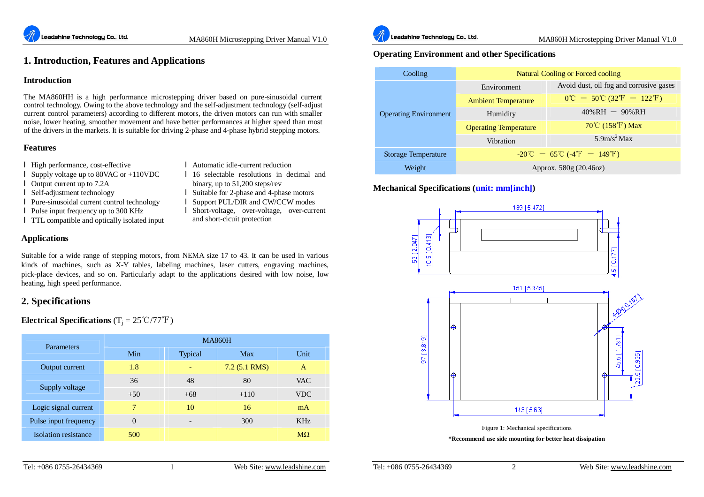l Automatic idle-current reduction

binary, up to 51,200 steps/rev l Suitable for 2-phase and 4-phase motors l Support PUL/DIR and CW/CCW modes l Short-voltage, over-voltage, over-current

and short-cicuit protection

l 16 selectable resolutions in decimal and

# **1. Introduction, Features and Applications**

#### **Introduction**

The MA860HH is a high performance microstepping driver based on pure-sinusoidal current control technology. Owing to the above technology and the self-adjustment technology (self-adjust current control parameters) according to different motors, the driven motors can run with smaller noise, lower heating, smoother movement and have better performances at higher speed than most of the drivers in the markets. It is suitable for driving 2-phase and 4-phase hybrid stepping motors.

#### **Features**

- l High performance, cost-effective
- l Supply voltage up to 80VAC or +110VDC
- l Output current up to 7.2A
- l Self-adjustment technology
- l Pure-sinusoidal current control technology
- l Pulse input frequency up to 300 KHz
- l TTL compatible and optically isolated input

## **Applications**

Suitable for a wide range of stepping motors, from NEMA size 17 to 43. It can be used in various kinds of machines, such as X-Y tables, labeling machines, laser cutters, engraving machines, pick-place devices, and so on. Particularly adapt to the applications desired with low noise, low heating, high speed performance.

# **2. Specifications**

**Electrical Specifications**  $(T_i = 25 °C/77 °F)$ 

| Parameters                  | <b>MA860H</b> |         |                |            |  |
|-----------------------------|---------------|---------|----------------|------------|--|
|                             | Min           | Typical | <b>Max</b>     | Unit       |  |
| Output current              | 1.8           |         | $7.2(5.1$ RMS) | A          |  |
|                             | 36            | 48      | 80             | <b>VAC</b> |  |
| Supply voltage              | $+50$         | $+68$   | $+110$         | <b>VDC</b> |  |
| Logic signal current        | 7             | 10      | 16             | mA         |  |
| Pulse input frequency       | $\theta$      |         | 300            | <b>KHz</b> |  |
| <b>Isolation</b> resistance | 500           |         |                | $M\Omega$  |  |



## **Operating Environment and other Specifications**

| Cooling                      | Natural Cooling or Forced cooling                                                   |                                                                                     |  |  |
|------------------------------|-------------------------------------------------------------------------------------|-------------------------------------------------------------------------------------|--|--|
|                              | Environment                                                                         | Avoid dust, oil fog and corrosive gases                                             |  |  |
|                              | <b>Ambient Temperature</b>                                                          | $0^{\circ}\text{C} - 50^{\circ}\text{C} (32^{\circ}\text{F} - 122^{\circ}\text{F})$ |  |  |
| <b>Operating Environment</b> | Humidity                                                                            | $40\% RH - 90\%RH$                                                                  |  |  |
|                              | <b>Operating Temperature</b>                                                        | $70^{\circ}$ C (158 $^{\circ}$ F) Max                                               |  |  |
|                              | Vibration                                                                           | $5.9$ m/s <sup>2</sup> Max                                                          |  |  |
| <b>Storage Temperature</b>   | $-20^{\circ}\text{C} - 65^{\circ}\text{C}$ (-4 <sup>°</sup> F - 149 <sup>°</sup> F) |                                                                                     |  |  |
| Weight                       | Approx. 580g (20.46oz)                                                              |                                                                                     |  |  |

# **Mechanical Specifications (unit: mm[inch])**

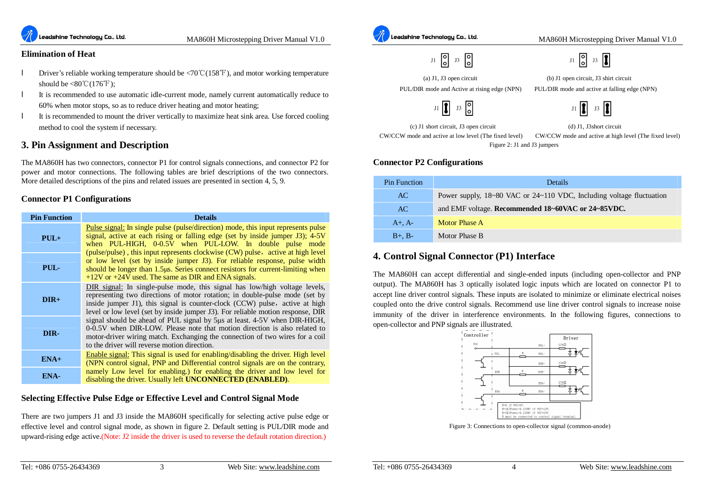

#### **Elimination of Heat**

- l Driver's reliable working temperature should be <70℃(158℉), and motor working temperature should be  $\langle 80^{\circ} \text{C} (176^{\circ} \text{F})$ ;
- l It is recommended to use automatic idle-current mode, namely current automatically reduce to 60% when motor stops, so as to reduce driver heating and motor heating;
- l It is recommended to mount the driver vertically to maximize heat sink area. Use forced cooling method to cool the system if necessary.

# **3. Pin Assignment and Description**

The MA860H has two connectors, connector P1 for control signals connections, and connector P2 for power and motor connections. The following tables are brief descriptions of the two connectors. More detailed descriptions of the pins and related issues are presented in section 4, 5, 9.

#### **Connector P1 Configurations**

| <b>Pin Function</b> | <b>Details</b>                                                                                                                                                                                                                                                                                                                     |
|---------------------|------------------------------------------------------------------------------------------------------------------------------------------------------------------------------------------------------------------------------------------------------------------------------------------------------------------------------------|
| $PUL+$              | <u>Pulse signal:</u> In single pulse (pulse/direction) mode, this input represents pulse<br>signal, active at each rising or falling edge (set by inside jumper J3); 4-5V<br>when PUL-HIGH, 0-0.5V when PUL-LOW. In double pulse mode<br>(pulse/pulse), this input represents clockwise (CW) pulse, active at high level           |
| PUL-                | or low level (set by inside jumper J3). For reliable response, pulse width<br>should be longer than 1.5µs. Series connect resistors for current-limiting when<br>$+12V$ or $+24V$ used. The same as DIR and ENA signals.                                                                                                           |
| $DIR+$              | <b>DIR</b> signal: In single-pulse mode, this signal has low/high voltage levels,<br>representing two directions of motor rotation; in double-pulse mode (set by<br>inside jumper J1), this signal is counter-clock (CCW) pulse, active at high<br>level or low level (set by inside jumper J3). For reliable motion response, DIR |
| DIR-                | signal should be ahead of PUL signal by 5us at least. 4-5V when DIR-HIGH,<br>0-0.5V when DIR-LOW. Please note that motion direction is also related to<br>motor-driver wiring match. Exchanging the connection of two wires for a coil<br>to the driver will reverse motion direction.                                             |
| $ENA+$              | Enable signal: This signal is used for enabling/disabling the driver. High level<br>(NPN control signal, PNP and Differential control signals are on the contrary,                                                                                                                                                                 |
| ENA-                | namely Low level for enabling.) for enabling the driver and low level for<br>disabling the driver. Usually left <b>UNCONNECTED</b> ( <b>ENABLED</b> ).                                                                                                                                                                             |

#### **Selecting Effective Pulse Edge or Effective Level and Control Signal Mode**

There are two jumpers J1 and J3 inside the MA860H specifically for selecting active pulse edge or effective level and control signal mode, as shown in figure 2. Default setting is PUL/DIR mode and upward-rising edge active.(Note: J2 inside the driver is used to reverse the default rotation direction.)



 $J1$  0  $J3$ 



(a) J1, J3 open circuit (b) J1 open circuit, J3 shirt circuit

PUL/DIR mode and Active at rising edge (NPN) PUL/DIR mode and active at falling edge (NPN)

 $J3$ 

(c) J1 short circuit, J3 open circuit (d) J1, J3short circuit CW/CCW mode and active at low level (The fixed level) CW/CCW mode and active at high level (The fixed level)

Figure 2: J1 and J3 jumpers

#### **Connector P2 Configurations**

| <b>Pin Function</b> | Details                                                              |  |
|---------------------|----------------------------------------------------------------------|--|
| AC.                 | Power supply, 18~80 VAC or 24~110 VDC, Including voltage fluctuation |  |
| AC                  | and EMF voltage. Recommended 18~60VAC or 24~85VDC.                   |  |
| $A+$ . $A-$         | Motor Phase A                                                        |  |
| $B+$ , $B-$         | Motor Phase B                                                        |  |

# **4. Control Signal Connector (P1) Interface**

The MA860H can accept differential and single-ended inputs (including open-collector and PNP output). The MA860H has 3 optically isolated logic inputs which are located on connector P1 to accept line driver control signals. These inputs are isolated to minimize or eliminate electrical noises coupled onto the drive control signals. Recommend use line driver control signals to increase noise immunity of the driver in interference environments. In the following figures, connections to open-collector and PNP signals are illustrated.



Figure 3: Connections to open-collector signal (common-anode)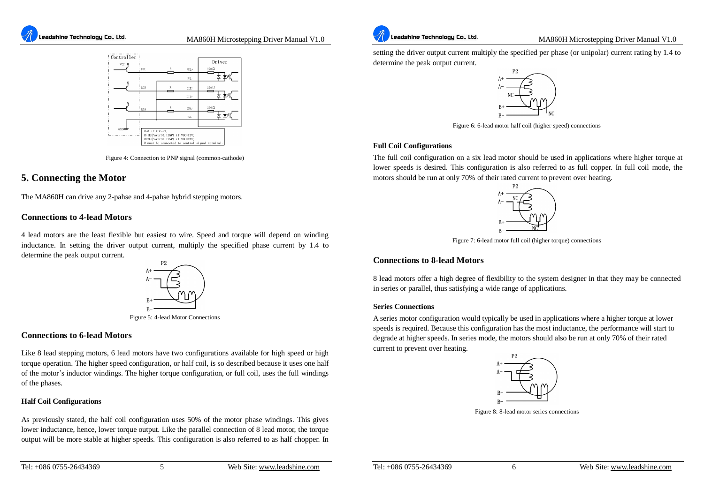



Figure 4: Connection to PNP signal (common-cathode)

# **5. Connecting the Motor**

The MA860H can drive any 2-pahse and 4-pahse hybrid stepping motors.

#### **Connections to 4-lead Motors**

4 lead motors are the least flexible but easiest to wire. Speed and torque will depend on winding inductance. In setting the driver output current, multiply the specified phase current by 1.4 to determine the peak output current.



Figure 5: 4-lead Motor Connections

#### **Connections to 6-lead Motors**

Like 8 lead stepping motors, 6 lead motors have two configurations available for high speed or high torque operation. The higher speed configuration, or half coil, is so described because it uses one half of the motor's inductor windings. The higher torque configuration, or full coil, uses the full windings of the phases.

#### **Half Coil Configurations**

As previously stated, the half coil configuration uses 50% of the motor phase windings. This gives lower inductance, hence, lower torque output. Like the parallel connection of 8 lead motor, the torque output will be more stable at higher speeds. This configuration is also referred to as half chopper. In setting the driver output current multiply the specified per phase (or unipolar) current rating by 1.4 to determine the peak output current.



Figure 6: 6-lead motor half coil (higher speed) connections

#### **Full Coil Configurations**

The full coil configuration on a six lead motor should be used in applications where higher torque at lower speeds is desired. This configuration is also referred to as full copper. In full coil mode, the motors should be run at only 70% of their rated current to prevent over heating.



Figure 7: 6-lead motor full coil (higher torque) connections

#### **Connections to 8-lead Motors**

8 lead motors offer a high degree of flexibility to the system designer in that they may be connected in series or parallel, thus satisfying a wide range of applications.

#### **Series Connections**

A series motor configuration would typically be used in applications where a higher torque at lower speeds is required. Because this configuration has the most inductance, the performance will start to degrade at higher speeds. In series mode, the motors should also be run at only 70% of their rated current to prevent over heating.



Figure 8: 8-lead motor series connections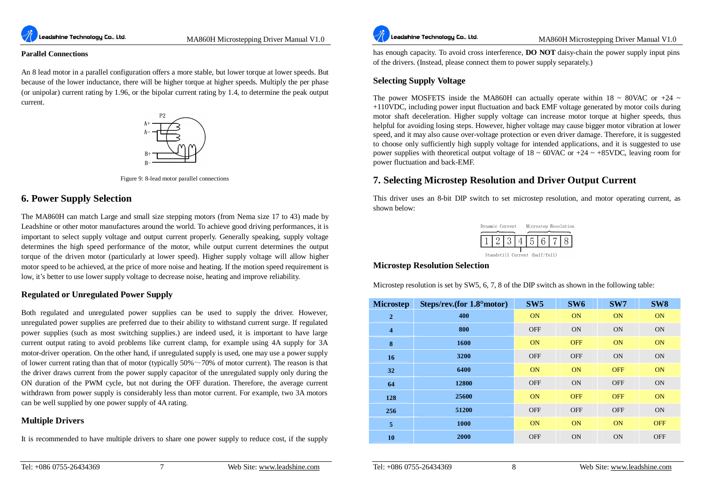

#### **Parallel Connections**

An 8 lead motor in a parallel configuration offers a more stable, but lower torque at lower speeds. But because of the lower inductance, there will be higher torque at higher speeds. Multiply the per phase (or unipolar) current rating by 1.96, or the bipolar current rating by 1.4, to determine the peak output current.



Figure 9: 8-lead motor parallel connections

## **6. Power Supply Selection**

The MA860H can match Large and small size stepping motors (from Nema size 17 to 43) made by Leadshine or other motor manufactures around the world. To achieve good driving performances, it is important to select supply voltage and output current properly. Generally speaking, supply voltage determines the high speed performance of the motor, while output current determines the output torque of the driven motor (particularly at lower speed). Higher supply voltage will allow higher motor speed to be achieved, at the price of more noise and heating. If the motion speed requirement is low, it's better to use lower supply voltage to decrease noise, heating and improve reliability.

#### **Regulated or Unregulated Power Supply**

Both regulated and unregulated power supplies can be used to supply the driver. However, unregulated power supplies are preferred due to their ability to withstand current surge. If regulated power supplies (such as most switching supplies.) are indeed used, it is important to have large current output rating to avoid problems like current clamp, for example using 4A supply for 3A motor-driver operation. On the other hand, if unregulated supply is used, one may use a power supply of lower current rating than that of motor (typically  $50\% \sim 70\%$  of motor current). The reason is that the driver draws current from the power supply capacitor of the unregulated supply only during the ON duration of the PWM cycle, but not during the OFF duration. Therefore, the average current withdrawn from power supply is considerably less than motor current. For example, two 3A motors can be well supplied by one power supply of 4A rating.

#### **Multiple Drivers**

It is recommended to have multiple drivers to share one power supply to reduce cost, if the supply



MA860H Microstepping Driver Manual V1.0

has enough capacity. To avoid cross interference, **DO NOT** daisy-chain the power supply input pins of the drivers. (Instead, please connect them to power supply separately.)

#### **Selecting Supply Voltage**

The power MOSFETS inside the MA860H can actually operate within 18  $\sim$  80VAC or +24  $\sim$ +110VDC, including power input fluctuation and back EMF voltage generated by motor coils during motor shaft deceleration. Higher supply voltage can increase motor torque at higher speeds, thus helpful for avoiding losing steps. However, higher voltage may cause bigger motor vibration at lower speed, and it may also cause over-voltage protection or even driver damage. Therefore, it is suggested to choose only sufficiently high supply voltage for intended applications, and it is suggested to use power supplies with theoretical output voltage of  $18 \sim 60$ VAC or  $+24 \sim +85$ VDC, leaving room for power fluctuation and back-EMF.

# **7. Selecting Microstep Resolution and Driver Output Current**

This driver uses an 8-bit DIP switch to set microstep resolution, and motor operating current, as shown below:



#### **Microstep Resolution Selection**

Microstep resolution is set by SW5, 6, 7, 8 of the DIP switch as shown in the following table:

| <b>Microstep</b>        | Steps/rev.(for 1.8° motor) | SW <sub>5</sub> | SW <sub>6</sub> | SW7        | SW <sub>8</sub> |
|-------------------------|----------------------------|-----------------|-----------------|------------|-----------------|
| $\overline{2}$          | 400                        | <b>ON</b>       | <b>ON</b>       | ON         | <b>ON</b>       |
| $\overline{\mathbf{4}}$ | 800                        | <b>OFF</b>      | <b>ON</b>       | <b>ON</b>  | <b>ON</b>       |
| 8                       | 1600                       | <b>ON</b>       | <b>OFF</b>      | ON         | <b>ON</b>       |
| 16                      | 3200                       | <b>OFF</b>      | <b>OFF</b>      | <b>ON</b>  | <b>ON</b>       |
| 32                      | 6400                       | ON              | ON              | <b>OFF</b> | ON              |
| 64                      | 12800                      | <b>OFF</b>      | <b>ON</b>       | <b>OFF</b> | <b>ON</b>       |
| 128                     | 25600                      | ON              | <b>OFF</b>      | <b>OFF</b> | <b>ON</b>       |
| 256                     | 51200                      | <b>OFF</b>      | <b>OFF</b>      | <b>OFF</b> | <b>ON</b>       |
| 5                       | 1000                       | ON              | ON              | ON         | <b>OFF</b>      |
| 10                      | 2000                       | <b>OFF</b>      | <b>ON</b>       | <b>ON</b>  | <b>OFF</b>      |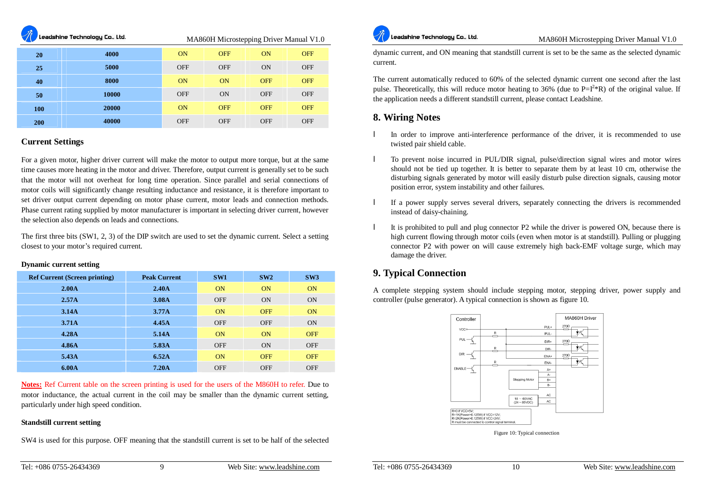eadshine Technology Co., Ltd.

MA860H Microstepping Driver Manual V1.0

| 20  | 4000  | ON         | <b>OFF</b> | ON         | <b>OFF</b> |
|-----|-------|------------|------------|------------|------------|
| 25  | 5000  | <b>OFF</b> | <b>OFF</b> | ON         | <b>OFF</b> |
| 40  | 8000  | ON         | <b>ON</b>  | <b>OFF</b> | <b>OFF</b> |
| 50  | 10000 | <b>OFF</b> | <b>ON</b>  | <b>OFF</b> | <b>OFF</b> |
| 100 | 20000 | ON         | <b>OFF</b> | <b>OFF</b> | <b>OFF</b> |
| 200 | 40000 | <b>OFF</b> | <b>OFF</b> | <b>OFF</b> | <b>OFF</b> |

#### **Current Settings**

For a given motor, higher driver current will make the motor to output more torque, but at the same time causes more heating in the motor and driver. Therefore, output current is generally set to be such that the motor will not overheat for long time operation. Since parallel and serial connections of motor coils will significantly change resulting inductance and resistance, it is therefore important to set driver output current depending on motor phase current, motor leads and connection methods. Phase current rating supplied by motor manufacturer is important in selecting driver current, however the selection also depends on leads and connections.

The first three bits (SW1, 2, 3) of the DIP switch are used to set the dynamic current. Select a setting closest to your motor's required current.

| <b>Dynamic current setting</b> |  |  |
|--------------------------------|--|--|
|--------------------------------|--|--|

| <b>Ref Current (Screen printing)</b> | <b>Peak Current</b> | SW1        | SW2        | SW3        |
|--------------------------------------|---------------------|------------|------------|------------|
| 2.00 <sub>A</sub>                    | 2.40 <sub>A</sub>   | <b>ON</b>  | ON         | ON         |
| 2.57 <sub>A</sub>                    | 3.08A               | <b>OFF</b> | ON         | ON         |
| 3.14A                                | 3.77A               | ON         | <b>OFF</b> | ON         |
| 3.71A                                | 4.45A               | <b>OFF</b> | <b>OFF</b> | <b>ON</b>  |
| 4.28A                                | 5.14A               | <b>ON</b>  | ON         | <b>OFF</b> |
| 4.86A                                | 5.83A               | <b>OFF</b> | ON         | <b>OFF</b> |
| 5.43A                                | 6.52A               | <b>ON</b>  | <b>OFF</b> | <b>OFF</b> |
| 6.00A                                | 7.20 <sub>A</sub>   | <b>OFF</b> | <b>OFF</b> | <b>OFF</b> |

**Notes:** Ref Current table on the screen printing is used for the users of the M860H to refer. Due to motor inductance, the actual current in the coil may be smaller than the dynamic current setting, particularly under high speed condition.

#### **Standstill current setting**

SW4 is used for this purpose. OFF meaning that the standstill current is set to be half of the selected



dynamic current, and ON meaning that standstill current is set to be the same as the selected dynamic current.

The current automatically reduced to 60% of the selected dynamic current one second after the last pulse. Theoretically, this will reduce motor heating to 36% (due to  $P = I^2 * R$ ) of the original value. If the application needs a different standstill current, please contact Leadshine.

# **8. Wiring Notes**

- In order to improve anti-interference performance of the driver, it is recommended to use twisted pair shield cable.
- l To prevent noise incurred in PUL/DIR signal, pulse/direction signal wires and motor wires should not be tied up together. It is better to separate them by at least 10 cm, otherwise the disturbing signals generated by motor will easily disturb pulse direction signals, causing motor position error, system instability and other failures.
- l If a power supply serves several drivers, separately connecting the drivers is recommended instead of daisy-chaining.
- l It is prohibited to pull and plug connector P2 while the driver is powered ON, because there is high current flowing through motor coils (even when motor is at standstill). Pulling or plugging connector P2 with power on will cause extremely high back-EMF voltage surge, which may damage the driver.

# **9. Typical Connection**

A complete stepping system should include stepping motor, stepping driver, power supply and controller (pulse generator). A typical connection is shown as figure 10.



Figure 10: Typical connection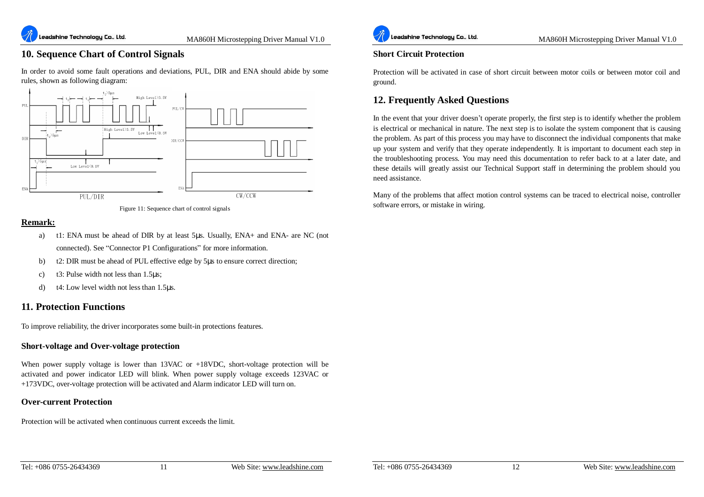# **10. Sequence Chart of Control Signals**

In order to avoid some fault operations and deviations, PUL, DIR and ENA should abide by some rules, shown as following diagram:





## **Remark:**

- a) t1: ENA must be ahead of DIR by at least 5μs. Usually, ENA+ and ENA- are NC (not connected). See "Connector P1 Configurations" for more information.
- b) t2: DIR must be ahead of PUL effective edge by 5μs to ensure correct direction;
- c) t3: Pulse width not less than 1.5μs;
- d) t4: Low level width not less than 1.5μs.

# **11. Protection Functions**

To improve reliability, the driver incorporates some built-in protections features.

#### **Short-voltage and Over-voltage protection**

When power supply voltage is lower than 13VAC or +18VDC, short-voltage protection will be activated and power indicator LED will blink. When power supply voltage exceeds 123VAC or +173VDC, over-voltage protection will be activated and Alarm indicator LED will turn on.

#### **Over-current Protection**

Protection will be activated when continuous current exceeds the limit.



MA860H Microstepping Driver Manual V1.0

#### **Short Circuit Protection**

Protection will be activated in case of short circuit between motor coils or between motor coil and ground.

# **12. Frequently Asked Questions**

In the event that your driver doesn't operate properly, the first step is to identify whether the problem is electrical or mechanical in nature. The next step is to isolate the system component that is causing the problem. As part of this process you may have to disconnect the individual components that make up your system and verify that they operate independently. It is important to document each step in the troubleshooting process. You may need this documentation to refer back to at a later date, and these details will greatly assist our Technical Support staff in determining the problem should you need assistance.

Many of the problems that affect motion control systems can be traced to electrical noise, controller software errors, or mistake in wiring.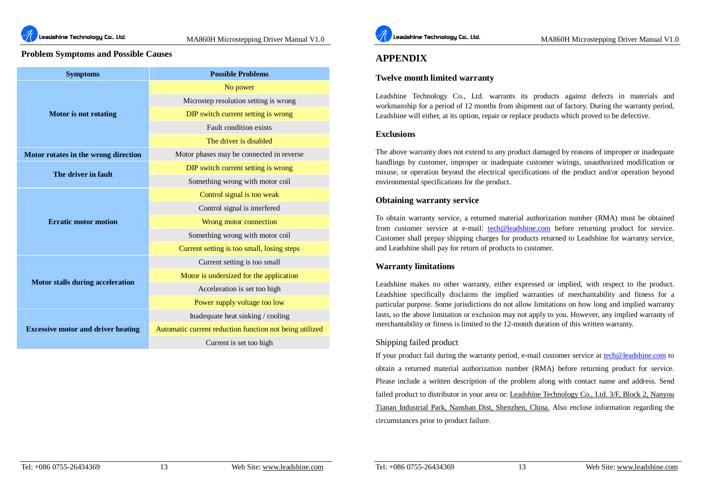

#### **Problem Symptoms and Possible Causes**

| <b>Symptoms</b>                           | <b>Possible Problems</b>                                |  |  |
|-------------------------------------------|---------------------------------------------------------|--|--|
|                                           | No power                                                |  |  |
|                                           | Microstep resolution setting is wrong                   |  |  |
| Motor is not rotating                     | DIP switch current setting is wrong                     |  |  |
|                                           | Fault condition exists                                  |  |  |
|                                           | The driver is disabled                                  |  |  |
| Motor rotates in the wrong direction      | Motor phases may be connected in reverse                |  |  |
| The driver in fault                       | DIP switch current setting is wrong                     |  |  |
|                                           | Something wrong with motor coil                         |  |  |
|                                           | Control signal is too weak                              |  |  |
|                                           | Control signal is interfered                            |  |  |
| <b>Erratic motor motion</b>               | Wrong motor connection                                  |  |  |
|                                           | Something wrong with motor coil                         |  |  |
|                                           | Current setting is too small, losing steps              |  |  |
|                                           | Current setting is too small                            |  |  |
|                                           | Motor is undersized for the application                 |  |  |
| <b>Motor stalls during acceleration</b>   | Acceleration is set too high                            |  |  |
|                                           | Power supply voltage too low                            |  |  |
|                                           | Inadequate heat sinking / cooling                       |  |  |
| <b>Excessive motor and driver heating</b> | Automatic current reduction function not being utilized |  |  |
|                                           | Current is set too high                                 |  |  |



# **APPENDIX**

#### **Twelve month limited warranty**

Leadshine Technology Co., Ltd. warrants its products against defects in materials and workmanship for a period of 12 months from shipment out of factory. During the warranty period, Leadshine will either, at its option, repair or replace products which proved to be defective.

#### **Exclusions**

The above warranty does not extend to any product damaged by reasons of improper or inadequate handlings by customer, improper or inadequate customer wirings, unauthorized modification or misuse, or operation beyond the electrical specifications of the product and/or operation beyond environmental specifications for the product.

#### **Obtaining warranty service**

To obtain warranty service, a returned material authorization number (RMA) must be obtained from customer service at e-mail: [tech@leadshine.com](mailto:tech@leadshine.com) before returning product for service. Customer shall prepay shipping charges for products returned to Leadshine for warranty service, and Leadshine shall pay for return of products to customer.

#### **Warranty limitations**

Leadshine makes no other warranty, either expressed or implied, with respect to the product. Leadshine specifically disclaims the implied warranties of merchantability and fitness for a particular purpose. Some jurisdictions do not allow limitations on how long and implied warranty lasts, so the above limitation or exclusion may not apply to you. However, any implied warranty of merchantability or fitness is limited to the 12-month duration of this written warranty.

#### Shipping failed product

If your product fail during the warranty period, e-mail customer service at [tech@leadshine.com](mailto:tech@leadshine.com) to obtain a returned material authorization number (RMA) before returning product for service. Please include a written description of the problem along with contact name and address. Send failed product to distributor in your area or: Leadshine Technology Co., Ltd. 3/F, Block 2, Nanyou Tianan Industrial Park, Nanshan Dist, Shenzhen, China. Also enclose information regarding the circumstances prior to product failure.